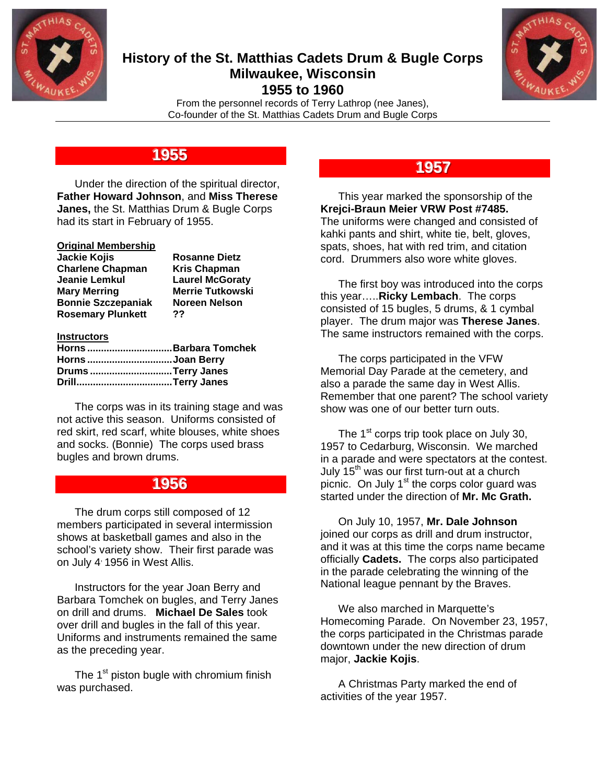

### **History of the St. Matthias Cadets Drum & Bugle Corps Milwaukee, Wisconsin 1955 to 1960**



From the personnel records of Terry Lathrop (nee Janes), Co-founder of the St. Matthias Cadets Drum and Bugle Corps

## **11995555**

 Under the direction of the spiritual director, **Father Howard Johnson**, and **Miss Therese Janes,** the St. Matthias Drum & Bugle Corps had its start in February of 1955.

### **Original Membership**

| Jackie Kojis              | <b>Rosanne Dietz</b>    |
|---------------------------|-------------------------|
| <b>Charlene Chapman</b>   | <b>Kris Chapman</b>     |
| Jeanie Lemkul             | <b>Laurel McGoraty</b>  |
| Mary Merring              | <b>Merrie Tutkowski</b> |
| <b>Bonnie Szczepaniak</b> | Noreen Nelson           |
| <b>Rosemary Plunkett</b>  | ??                      |

#### **Instructors**

|                  | Horns Barbara Tomchek |
|------------------|-----------------------|
| Horns Joan Berry |                       |
|                  | Drums Terry Janes     |
|                  |                       |

 The corps was in its training stage and was not active this season. Uniforms consisted of red skirt, red scarf, white blouses, white shoes and socks. (Bonnie) The corps used brass bugles and brown drums.

## **11995566**

 The drum corps still composed of 12 members participated in several intermission shows at basketball games and also in the school's variety show. Their first parade was on July 4<sup>,</sup> 1956 in West Allis.

 Instructors for the year Joan Berry and Barbara Tomchek on bugles, and Terry Janes on drill and drums. **Michael De Sales** took over drill and bugles in the fall of this year. Uniforms and instruments remained the same as the preceding year.

The  $1<sup>st</sup>$  piston bugle with chromium finish was purchased.

## **11995577**

 This year marked the sponsorship of the **Krejci-Braun Meier VRW Post #7485.** The uniforms were changed and consisted of kahki pants and shirt, white tie, belt, gloves, spats, shoes, hat with red trim, and citation cord. Drummers also wore white gloves.

 The first boy was introduced into the corps this year…..**Ricky Lembach**. The corps consisted of 15 bugles, 5 drums, & 1 cymbal player. The drum major was **Therese Janes**. The same instructors remained with the corps.

 The corps participated in the VFW Memorial Day Parade at the cemetery, and also a parade the same day in West Allis. Remember that one parent? The school variety show was one of our better turn outs.

The  $1<sup>st</sup>$  corps trip took place on July 30, 1957 to Cedarburg, Wisconsin. We marched in a parade and were spectators at the contest. July 15<sup>th</sup> was our first turn-out at a church picnic. On July  $1<sup>st</sup>$  the corps color guard was started under the direction of **Mr. Mc Grath.**

 On July 10, 1957, **Mr. Dale Johnson** joined our corps as drill and drum instructor, and it was at this time the corps name became officially **Cadets.** The corps also participated in the parade celebrating the winning of the National league pennant by the Braves.

 We also marched in Marquette's Homecoming Parade. On November 23, 1957, the corps participated in the Christmas parade downtown under the new direction of drum major, **Jackie Kojis**.

 A Christmas Party marked the end of activities of the year 1957.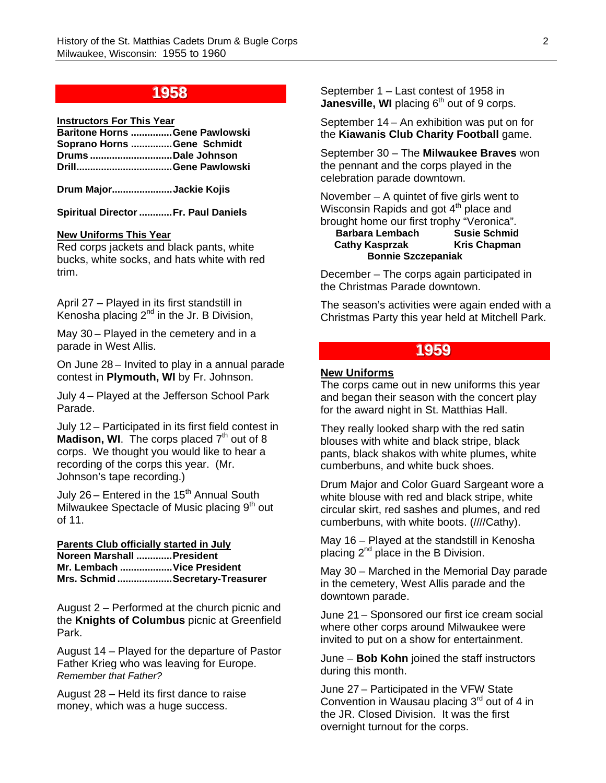## **11995588**

#### **Instructors For This Year**

|                            | Baritone Horns Gene Pawlowski |
|----------------------------|-------------------------------|
| Soprano Horns Gene Schmidt |                               |
| Drums Dale Johnson         |                               |
|                            |                               |

**Drum Major...................... Jackie Kojis** 

**Spiritual Director ............ Fr. Paul Daniels** 

#### **New Uniforms This Year**

Red corps jackets and black pants, white bucks, white socks, and hats white with red trim.

April 27 – Played in its first standstill in Kenosha placing  $2^{nd}$  in the Jr. B Division,

May 30 – Played in the cemetery and in a parade in West Allis.

On June 28 – Invited to play in a annual parade contest in **Plymouth, WI** by Fr. Johnson.

July 4 – Played at the Jefferson School Park Parade.

July 12 – Participated in its first field contest in **Madison, WI.** The corps placed  $7<sup>th</sup>$  out of 8 corps. We thought you would like to hear a recording of the corps this year. (Mr. Johnson's tape recording.)

July  $26$  – Entered in the 15<sup>th</sup> Annual South Milwaukee Spectacle of Music placing  $9<sup>th</sup>$  out of 11.

#### **Parents Club officially started in July Noreen Marshall ............. President Mr. Lembach ................... Vice President Mrs. Schmid .................... Secretary-Treasurer**

August 2 – Performed at the church picnic and the **Knights of Columbus** picnic at Greenfield Park.

August 14 – Played for the departure of Pastor Father Krieg who was leaving for Europe. *Remember that Father?*

August 28 – Held its first dance to raise money, which was a huge success.

September 1 – Last contest of 1958 in **Janesville, WI** placing 6<sup>th</sup> out of 9 corps.

September 14 – An exhibition was put on for the **Kiawanis Club Charity Football** game.

September 30 – The **Milwaukee Braves** won the pennant and the corps played in the celebration parade downtown.

November – A quintet of five girls went to Wisconsin Rapids and got  $4<sup>th</sup>$  place and

#### brought home our first trophy "Veronica". **Barbara Lembach Cathy Kasprzak Kris Chapman Bonnie Szczepaniak**

December – The corps again participated in the Christmas Parade downtown.

The season's activities were again ended with a Christmas Party this year held at Mitchell Park.

### **11995599**

#### **New Uniforms**

The corps came out in new uniforms this year and began their season with the concert play for the award night in St. Matthias Hall.

They really looked sharp with the red satin blouses with white and black stripe, black pants, black shakos with white plumes, white cumberbuns, and white buck shoes.

Drum Major and Color Guard Sargeant wore a white blouse with red and black stripe, white circular skirt, red sashes and plumes, and red cumberbuns, with white boots. (////Cathy).

May 16 – Played at the standstill in Kenosha placing  $2^{nd}$  place in the B Division.

May 30 – Marched in the Memorial Day parade in the cemetery, West Allis parade and the downtown parade.

June 21 – Sponsored our first ice cream social where other corps around Milwaukee were invited to put on a show for entertainment.

June – **Bob Kohn** joined the staff instructors during this month.

June 27 – Participated in the VFW State Convention in Wausau placing  $3<sup>rd</sup>$  out of 4 in the JR. Closed Division. It was the first overnight turnout for the corps.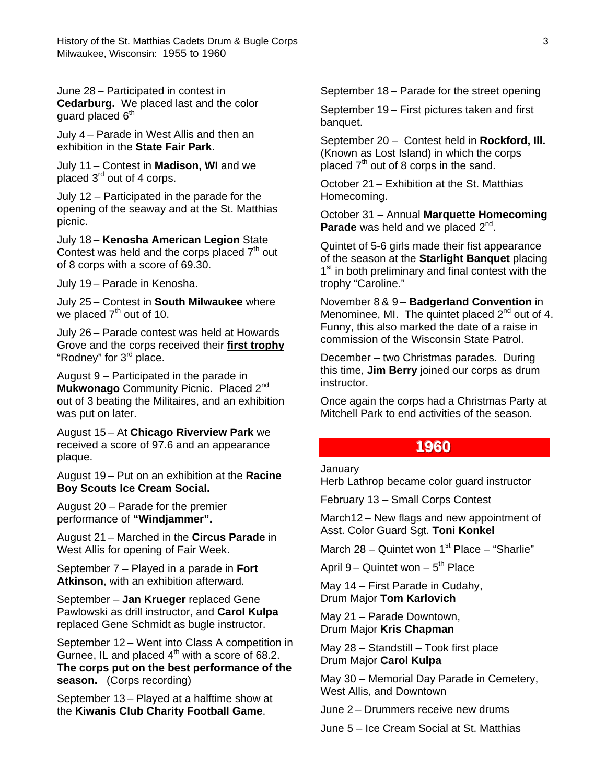June 28 – Participated in contest in **Cedarburg.** We placed last and the color guard placed  $6<sup>th</sup>$ 

July 4 – Parade in West Allis and then an exhibition in the **State Fair Park**.

July 11 – Contest in **Madison, WI** and we placed 3rd out of 4 corps.

July 12 – Participated in the parade for the opening of the seaway and at the St. Matthias picnic.

July 18 – **Kenosha American Legion** State Contest was held and the corps placed  $7<sup>th</sup>$  out of 8 corps with a score of 69.30.

July 19 – Parade in Kenosha.

July 25 – Contest in **South Milwaukee** where we placed  $7<sup>th</sup>$  out of 10.

July 26 – Parade contest was held at Howards Grove and the corps received their **first trophy** "Rodney" for 3<sup>rd</sup> place.

August 9 – Participated in the parade in **Mukwonago** Community Picnic. Placed 2nd out of 3 beating the Militaires, and an exhibition was put on later.

August 15 – At **Chicago Riverview Park** we received a score of 97.6 and an appearance plaque.

August 19 – Put on an exhibition at the **Racine Boy Scouts Ice Cream Social.** 

August 20 – Parade for the premier performance of **"Windjammer".**

August 21 – Marched in the **Circus Parade** in West Allis for opening of Fair Week.

September 7 – Played in a parade in **Fort Atkinson**, with an exhibition afterward.

September – **Jan Krueger** replaced Gene Pawlowski as drill instructor, and **Carol Kulpa** replaced Gene Schmidt as bugle instructor.

September 12 – Went into Class A competition in Gurnee, IL and placed  $4<sup>th</sup>$  with a score of 68.2. **The corps put on the best performance of the season.** (Corps recording)

September 13 – Played at a halftime show at the **Kiwanis Club Charity Football Game**.

September 18 – Parade for the street opening

September 19 – First pictures taken and first banquet.

September 20 – Contest held in **Rockford, Ill.**  (Known as Lost Island) in which the corps placed  $7<sup>th</sup>$  out of 8 corps in the sand.

October 21 – Exhibition at the St. Matthias Homecoming.

October 31 – Annual **Marquette Homecoming**  Parade was held and we placed 2<sup>nd</sup>.

Quintet of 5-6 girls made their fist appearance of the season at the **Starlight Banquet** placing 1<sup>st</sup> in both preliminary and final contest with the trophy "Caroline."

November 8 & 9 – **Badgerland Convention** in Menominee, MI. The quintet placed  $2^{nd}$  out of 4. Funny, this also marked the date of a raise in commission of the Wisconsin State Patrol.

December – two Christmas parades. During this time, **Jim Berry** joined our corps as drum instructor.

Once again the corps had a Christmas Party at Mitchell Park to end activities of the season.

### **11996600**

#### January

Herb Lathrop became color guard instructor

February 13 – Small Corps Contest

March12 – New flags and new appointment of Asst. Color Guard Sgt. **Toni Konkel**

March 28 – Quintet won  $1<sup>st</sup>$  Place – "Sharlie"

April 9 – Quintet won –  $5<sup>th</sup>$  Place

May 14 – First Parade in Cudahy, Drum Major **Tom Karlovich**

May 21 – Parade Downtown, Drum Major **Kris Chapman** 

May 28 – Standstill – Took first place Drum Major **Carol Kulpa**

May 30 – Memorial Day Parade in Cemetery, West Allis, and Downtown

June 2 – Drummers receive new drums

June 5 – Ice Cream Social at St. Matthias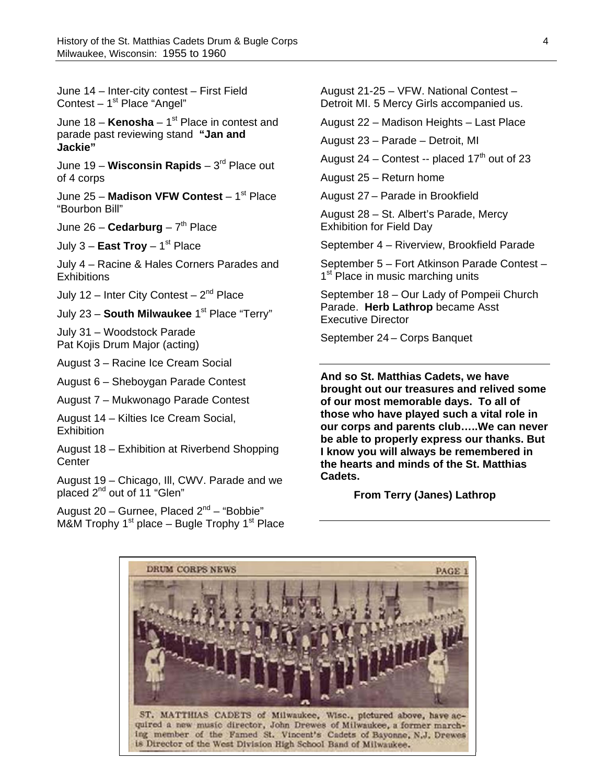June 14 – Inter-city contest – First Field Contest  $-1<sup>st</sup>$  Place "Angel"

June 18 – **Kenosha** – 1<sup>st</sup> Place in contest and parade past reviewing stand **"Jan and Jackie"**

June 19 – **Wisconsin Rapids** – 3rd Place out of 4 corps

June 25 - Madison VFW Contest - 1<sup>st</sup> Place "Bourbon Bill"

June 26 – **Cedarburg** –  $7<sup>th</sup>$  Place

July  $3 -$ **East Troy**  $- 1<sup>st</sup>$  Place

July 4 – Racine & Hales Corners Parades and **Exhibitions** 

July 12 – Inter City Contest –  $2^{nd}$  Place

July 23 - South Milwaukee 1<sup>st</sup> Place "Terry"

July 31 – Woodstock Parade Pat Kojis Drum Major (acting)

August 3 – Racine Ice Cream Social

August 6 – Sheboygan Parade Contest

August 7 – Mukwonago Parade Contest

August 14 – Kilties Ice Cream Social, **Exhibition** 

August 18 – Exhibition at Riverbend Shopping **Center** 

August 19 – Chicago, Ill, CWV. Parade and we placed 2<sup>nd</sup> out of 11 "Glen"

August 20 – Gurnee, Placed  $2^{nd}$  – "Bobbie" M&M Trophy  $1<sup>st</sup>$  place – Bugle Trophy  $1<sup>st</sup>$  Place August 21-25 – VFW. National Contest – Detroit MI. 5 Mercy Girls accompanied us.

August 22 – Madison Heights – Last Place

August 23 – Parade – Detroit, MI

August 24 – Contest -- placed  $17<sup>th</sup>$  out of 23

August 25 – Return home

August 27 – Parade in Brookfield

August 28 – St. Albert's Parade, Mercy Exhibition for Field Day

September 4 – Riverview, Brookfield Parade

September 5 – Fort Atkinson Parade Contest – 1<sup>st</sup> Place in music marching units

September 18 – Our Lady of Pompeii Church Parade. **Herb Lathrop** became Asst Executive Director

September 24 – Corps Banquet

**And so St. Matthias Cadets, we have brought out our treasures and relived some of our most memorable days. To all of those who have played such a vital role in our corps and parents club…..We can never be able to properly express our thanks. But I know you will always be remembered in the hearts and minds of the St. Matthias Cadets.** 

 **From Terry (Janes) Lathrop**